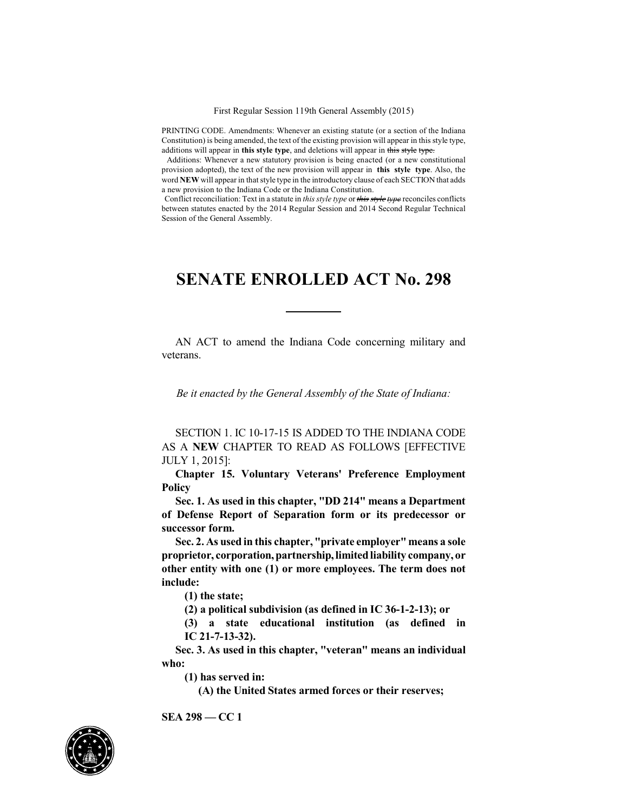PRINTING CODE. Amendments: Whenever an existing statute (or a section of the Indiana Constitution) is being amended, the text of the existing provision will appear in this style type, additions will appear in **this style type**, and deletions will appear in this style type.

Additions: Whenever a new statutory provision is being enacted (or a new constitutional provision adopted), the text of the new provision will appear in **this style type**. Also, the word **NEW** will appear in that style type in the introductory clause of each SECTION that adds a new provision to the Indiana Code or the Indiana Constitution.

Conflict reconciliation: Text in a statute in *this style type* or *this style type* reconciles conflicts between statutes enacted by the 2014 Regular Session and 2014 Second Regular Technical Session of the General Assembly.

## **SENATE ENROLLED ACT No. 298**

AN ACT to amend the Indiana Code concerning military and veterans.

*Be it enacted by the General Assembly of the State of Indiana:*

SECTION 1. IC 10-17-15 IS ADDED TO THE INDIANA CODE AS A **NEW** CHAPTER TO READ AS FOLLOWS [EFFECTIVE JULY 1, 2015]:

**Chapter 15. Voluntary Veterans' Preference Employment Policy**

**Sec. 1. As used in this chapter, "DD 214" means a Department of Defense Report of Separation form or its predecessor or successor form.**

**Sec. 2. As used in this chapter, "private employer" means a sole proprietor, corporation,partnership,limitedliability company, or other entity with one (1) or more employees. The term does not include:**

**(1) the state;**

**(2) a political subdivision (as defined in IC 36-1-2-13); or**

**(3) a state educational institution (as defined in IC 21-7-13-32).**

**Sec. 3. As used in this chapter, "veteran" means an individual who:**

**(1) has served in:**

**(A) the United States armed forces or their reserves;**



**SEA 298 — CC 1**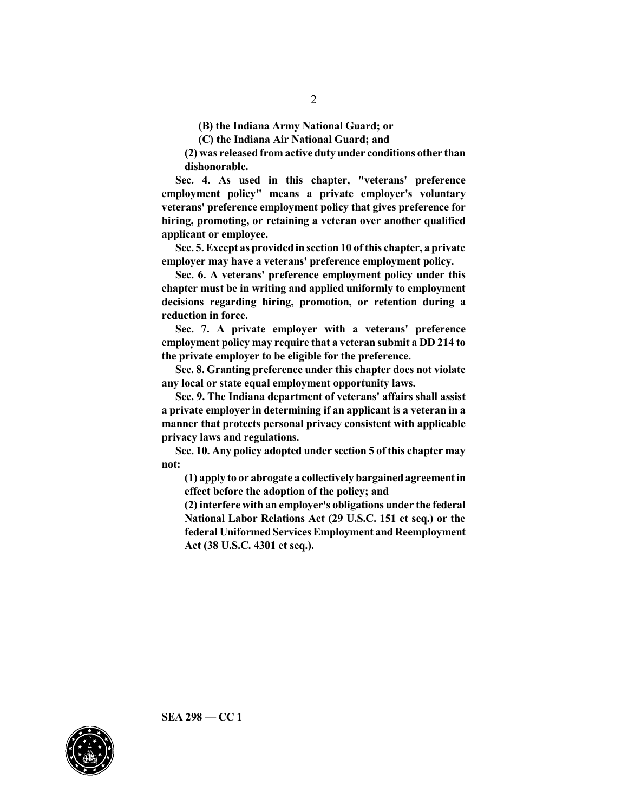**(B) the Indiana Army National Guard; or**

**(C) the Indiana Air National Guard; and**

**(2) was released from active duty under conditions other than dishonorable.**

**Sec. 4. As used in this chapter, "veterans' preference employment policy" means a private employer's voluntary veterans' preference employment policy that gives preference for hiring, promoting, or retaining a veteran over another qualified applicant or employee.**

**Sec. 5.Except as providedinsection 10 ofthis chapter, a private employer may have a veterans' preference employment policy.**

**Sec. 6. A veterans' preference employment policy under this chapter must be in writing and applied uniformly to employment decisions regarding hiring, promotion, or retention during a reduction in force.**

**Sec. 7. A private employer with a veterans' preference employment policy may require that a veteran submit a DD 214 to the private employer to be eligible for the preference.**

**Sec. 8. Granting preference under this chapter does not violate any local or state equal employment opportunity laws.**

**Sec. 9. The Indiana department of veterans' affairs shall assist a private employer in determining if an applicant is a veteran in a manner that protects personal privacy consistent with applicable privacy laws and regulations.**

**Sec. 10. Any policy adopted under section 5 of this chapter may not:**

**(1) apply to or abrogate a collectively bargainedagreement in effect before the adoption of the policy; and**

**(2) interfere with an employer's obligations under the federal National Labor Relations Act (29 U.S.C. 151 et seq.) or the federal Uniformed Services Employment and Reemployment Act (38 U.S.C. 4301 et seq.).**